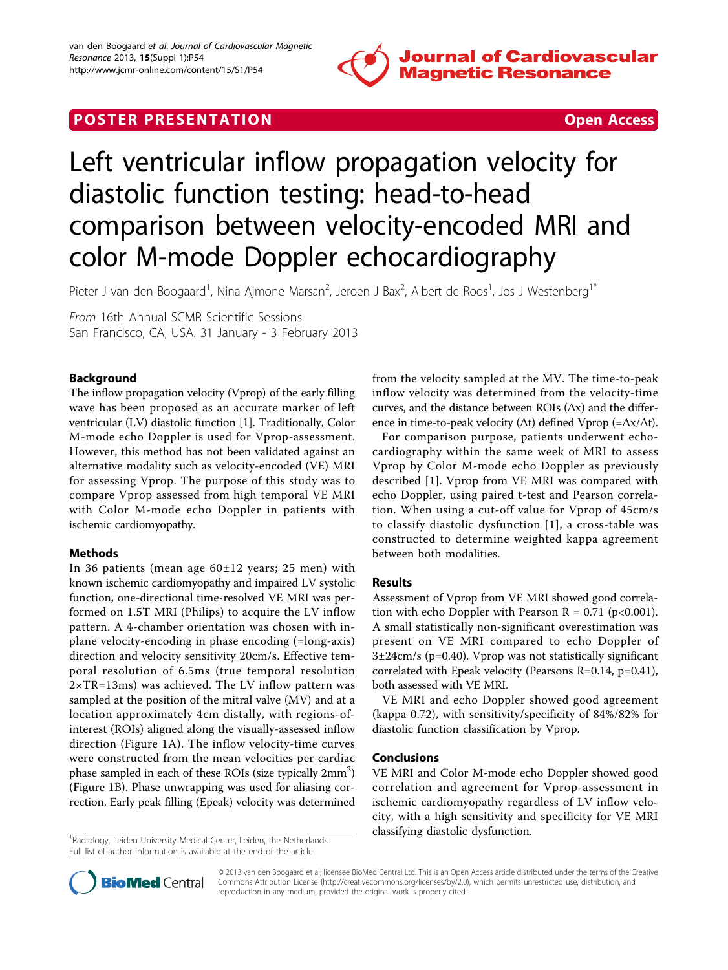

# **POSTER PRESENTATION CONSUMING THE SECOND CONSUMING THE SECOND CONSUMING THE SECOND CONSUMING THE SECOND CONSUMING THE SECOND CONSUMING THE SECOND CONSUMING THE SECOND CONSUMING THE SECOND CONSUMING THE SECOND CONSUMING**



# Left ventricular inflow propagation velocity for diastolic function testing: head-to-head comparison between velocity-encoded MRI and color M-mode Doppler echocardiography

Pieter J van den Boogaard<sup>1</sup>, Nina Ajmone Marsan<sup>2</sup>, Jeroen J Bax<sup>2</sup>, Albert de Roos<sup>1</sup>, Jos J Westenberg<sup>1\*</sup>

From 16th Annual SCMR Scientific Sessions San Francisco, CA, USA. 31 January - 3 February 2013

## Background

The inflow propagation velocity (Vprop) of the early filling wave has been proposed as an accurate marker of left ventricular (LV) diastolic function [[1\]](#page-1-0). Traditionally, Color M-mode echo Doppler is used for Vprop-assessment. However, this method has not been validated against an alternative modality such as velocity-encoded (VE) MRI for assessing Vprop. The purpose of this study was to compare Vprop assessed from high temporal VE MRI with Color M-mode echo Doppler in patients with ischemic cardiomyopathy.

#### Methods

In 36 patients (mean age 60±12 years; 25 men) with known ischemic cardiomyopathy and impaired LV systolic function, one-directional time-resolved VE MRI was performed on 1.5T MRI (Philips) to acquire the LV inflow pattern. A 4-chamber orientation was chosen with inplane velocity-encoding in phase encoding (=long-axis) direction and velocity sensitivity 20cm/s. Effective temporal resolution of 6.5ms (true temporal resolution 2×TR=13ms) was achieved. The LV inflow pattern was sampled at the position of the mitral valve (MV) and at a location approximately 4cm distally, with regions-ofinterest (ROIs) aligned along the visually-assessed inflow direction (Figure [1A\)](#page-1-0). The inflow velocity-time curves were constructed from the mean velocities per cardiac phase sampled in each of these ROIs (size typically  $2mm^2$ ) (Figure [1B](#page-1-0)). Phase unwrapping was used for aliasing correction. Early peak filling (Epeak) velocity was determined

<sup>1</sup>Radiology, Leiden University Medical Center, Leiden, the Netherlands Full list of author information is available at the end of the article

from the velocity sampled at the MV. The time-to-peak inflow velocity was determined from the velocity-time curves, and the distance between ROIs  $(\Delta x)$  and the difference in time-to-peak velocity ( $\Delta t$ ) defined Vprop (= $\Delta x/\Delta t$ ).

For comparison purpose, patients underwent echocardiography within the same week of MRI to assess Vprop by Color M-mode echo Doppler as previously described [\[1](#page-1-0)]. Vprop from VE MRI was compared with echo Doppler, using paired t-test and Pearson correlation. When using a cut-off value for Vprop of 45cm/s to classify diastolic dysfunction [\[1\]](#page-1-0), a cross-table was constructed to determine weighted kappa agreement between both modalities.

#### Results

Assessment of Vprop from VE MRI showed good correlation with echo Doppler with Pearson  $R = 0.71$  (p<0.001). A small statistically non-significant overestimation was present on VE MRI compared to echo Doppler of 3±24cm/s (p=0.40). Vprop was not statistically significant correlated with Epeak velocity (Pearsons R=0.14, p=0.41), both assessed with VE MRI.

VE MRI and echo Doppler showed good agreement (kappa 0.72), with sensitivity/specificity of 84%/82% for diastolic function classification by Vprop.

#### Conclusions

VE MRI and Color M-mode echo Doppler showed good correlation and agreement for Vprop-assessment in ischemic cardiomyopathy regardless of LV inflow velocity, with a high sensitivity and specificity for VE MRI classifying diastolic dysfunction. <sup>1</sup>



© 2013 van den Boogaard et al; licensee BioMed Central Ltd. This is an Open Access article distributed under the terms of the Creative Commons Attribution License [\(http://creativecommons.org/licenses/by/2.0](http://creativecommons.org/licenses/by/2.0)), which permits unrestricted use, distribution, and reproduction in any medium, provided the original work is properly cited.